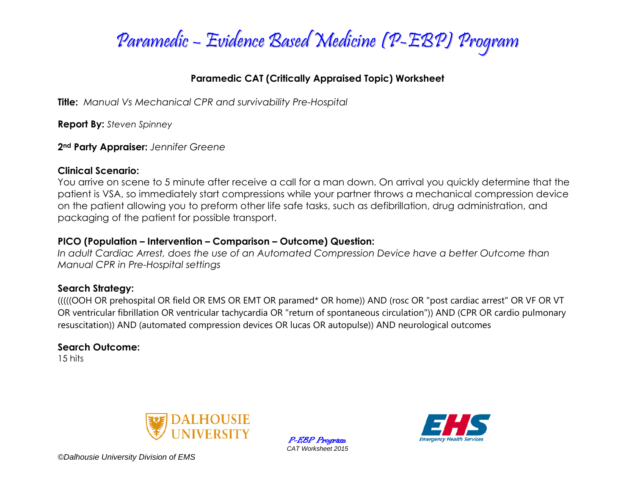

### **Paramedic CAT (Critically Appraised Topic) Worksheet**

**Title:** *Manual Vs Mechanical CPR and survivability Pre-Hospital*

**Report By:** *Steven Spinney*

**2nd Party Appraiser:** *Jennifer Greene*

### **Clinical Scenario:**

You arrive on scene to 5 minute after receive a call for a man down. On arrival you quickly determine that the patient is VSA, so immediately start compressions while your partner throws a mechanical compression device on the patient allowing you to preform other life safe tasks, such as defibrillation, drug administration, and packaging of the patient for possible transport.

### **PICO (Population – Intervention – Comparison – Outcome) Question:**

*In adult Cardiac Arrest, does the use of an Automated Compression Device have a better Outcome than Manual CPR in Pre-Hospital settings*

### **Search Strategy:**

(((((OOH OR prehospital OR field OR EMS OR EMT OR paramed\* OR home)) AND (rosc OR "post cardiac arrest" OR VF OR VT OR ventricular fibrillation OR ventricular tachycardia OR "return of spontaneous circulation")) AND (CPR OR cardio pulmonary resuscitation)) AND (automated compression devices OR lucas OR autopulse)) AND neurological outcomes

## **Search Outcome:**

15 hits



P-EBP Program *CAT Worksheet 2015*



*©Dalhousie University Division of EMS*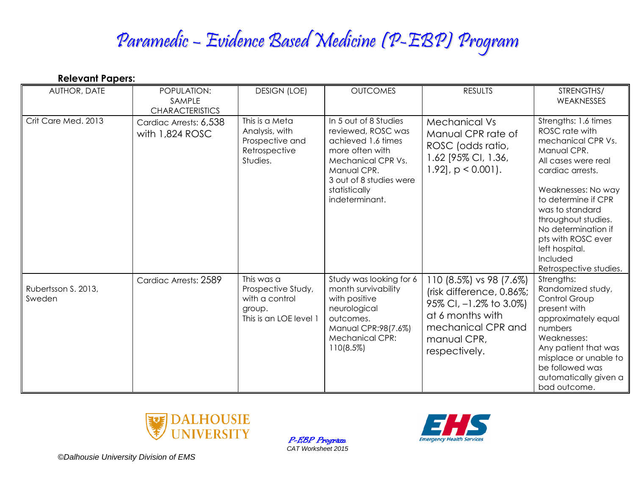# Paramedic – Evidence Based Medicine (P-EBP) Program

| <b>Relevant Papers:</b>       |                                                 |                                                                                        |                                                                                                                                                                                         |                                                                                                                                                         |                                                                                                                                                                                                                                                                                                                    |
|-------------------------------|-------------------------------------------------|----------------------------------------------------------------------------------------|-----------------------------------------------------------------------------------------------------------------------------------------------------------------------------------------|---------------------------------------------------------------------------------------------------------------------------------------------------------|--------------------------------------------------------------------------------------------------------------------------------------------------------------------------------------------------------------------------------------------------------------------------------------------------------------------|
| AUTHOR, DATE                  | POPULATION:<br>SAMPLE<br><b>CHARACTERISTICS</b> | <b>DESIGN (LOE)</b>                                                                    | <b>OUTCOMES</b>                                                                                                                                                                         | <b>RESULTS</b>                                                                                                                                          | STRENGTHS/<br>WEAKNESSES                                                                                                                                                                                                                                                                                           |
| Crit Care Med. 2013           | Cardiac Arrests: 6,538<br>with 1,824 ROSC       | This is a Meta<br>Analysis, with<br>Prospective and<br>Retrospective<br>Studies.       | In 5 out of 8 Studies<br>reviewed, ROSC was<br>achieved 1.6 times<br>more often with<br>Mechanical CPR Vs.<br>Manual CPR.<br>3 out of 8 studies were<br>statistically<br>indeterminant. | Mechanical Vs<br>Manual CPR rate of<br>ROSC (odds ratio,<br>1.62 [95% CI, 1.36,<br>$1.92$ ], $p < 0.001$ ).                                             | Strengths: 1.6 times<br>ROSC rate with<br>mechanical CPR Vs.<br>Manual CPR.<br>All cases were real<br>cardiac arrests.<br>Weaknesses: No way<br>to determine if CPR<br>was to standard<br>throughout studies.<br>No determination if<br>pts with ROSC ever<br>left hospital.<br>Included<br>Retrospective studies. |
| Rubertsson S. 2013,<br>Sweden | Cardiac Arrests: 2589                           | This was a<br>Prospective Study,<br>with a control<br>group.<br>This is an LOE level 1 | Study was looking for 6<br>month survivability<br>with positive<br>neurological<br>outcomes.<br>Manual CPR:98(7.6%)<br><b>Mechanical CPR:</b><br>110(8.5%)                              | 110 (8.5%) vs 98 (7.6%)<br>(risk difference, 0.86%;<br>95% CI, -1.2% to 3.0%)<br>at 6 months with<br>mechanical CPR and<br>manual CPR,<br>respectively. | Strengths:<br>Randomized study,<br>Control Group<br>present with<br>approximately equal<br>numbers<br>Weaknesses:<br>Any patient that was<br>misplace or unable to<br>be followed was<br>automatically given a<br>bad outcome.                                                                                     |



P-EBP Program *CAT Worksheet 2015*



*©Dalhousie University Division of EMS*